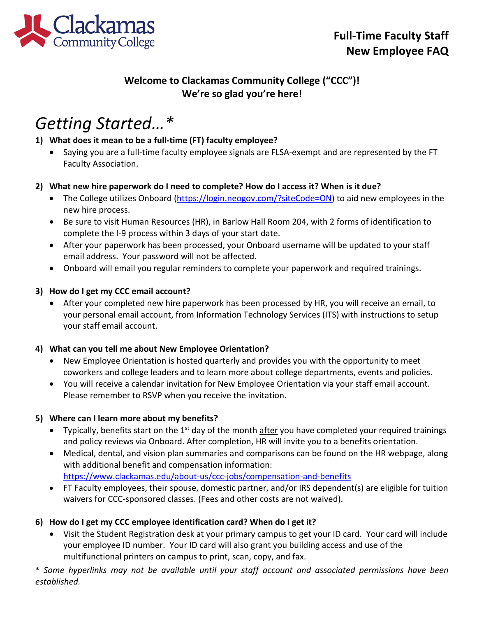

# **Welcome to Clackamas Community College ("CCC")! We're so glad you're here!**

# *Getting Started…\**

## **1) What does it mean to be a full-time (FT) faculty employee?**

• Saying you are a full-time faculty employee signals are FLSA-exempt and are represented by the FT Faculty Association.

### **2) What new hire paperwork do I need to complete? How do I access it? When is it due?**

- The College utilizes Onboard [\(https://login.neogov.com/?siteCode=ON\)](https://login.neogov.com/?siteCode=ON) to aid new employees in the new hire process.
- Be sure to visit Human Resources (HR), in Barlow Hall Room 204, with 2 forms of identification to complete the I-9 process within 3 days of your start date.
- After your paperwork has been processed, your Onboard username will be updated to your staff email address. Your password will not be affected.
- Onboard will email you regular reminders to complete your paperwork and required trainings.

### **3) How do I get my CCC email account?**

• After your completed new hire paperwork has been processed by HR, you will receive an email, to your personal email account, from Information Technology Services (ITS) with instructions to setup your staff email account.

### **4) What can you tell me about New Employee Orientation?**

- New Employee Orientation is hosted quarterly and provides you with the opportunity to meet coworkers and college leaders and to learn more about college departments, events and policies.
- You will receive a calendar invitation for New Employee Orientation via your staff email account. Please remember to RSVP when you receive the invitation.

### **5) Where can I learn more about my benefits?**

- Typically, benefits start on the  $1<sup>st</sup>$  day of the month after you have completed your required trainings and policy reviews via Onboard. After completion, HR will invite you to a benefits orientation.
- Medical, dental, and vision plan summaries and comparisons can be found on the HR webpage, along with additional benefit and compensation information: <https://www.clackamas.edu/about-us/ccc-jobs/compensation-and-benefits>
- FT Faculty employees, their spouse, domestic partner, and/or IRS dependent(s) are eligible for tuition waivers for CCC-sponsored classes. (Fees and other costs are not waived).

## **6) How do I get my CCC employee identification card? When do I get it?**

• Visit the Student Registration desk at your primary campus to get your ID card. Your card will include your employee ID number. Your ID card will also grant you building access and use of the multifunctional printers on campus to print, scan, copy, and fax.

\* *Some hyperlinks may not be available until your staff account and associated permissions have been established.*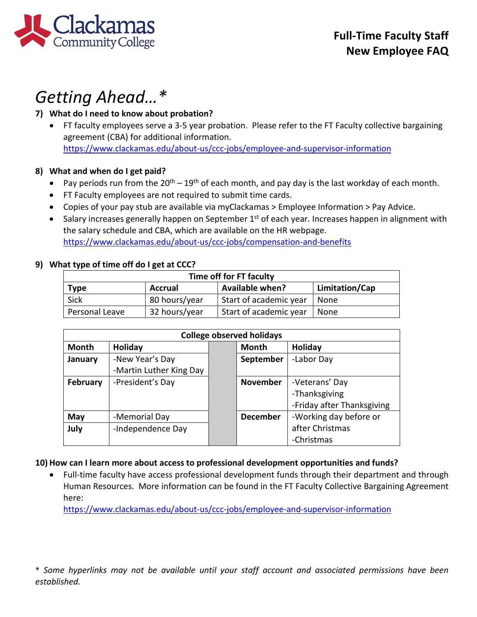

# *Getting Ahead…\**

# **7) What do I need to know about probation?**

• FT faculty employees serve a 3-5 year probation. Please refer to the FT Faculty collective bargaining agreement (CBA) for additional information. <https://www.clackamas.edu/about-us/ccc-jobs/employee-and-supervisor-information>

### **8) What and when do I get paid?**

- Pay periods run from the  $20^{th} 19^{th}$  of each month, and pay day is the last workday of each month.
- FT Faculty employees are not required to submit time cards.
- Copies of your pay stub are available via myClackamas > Employee Information > Pay Advice.
- Salary increases generally happen on September  $1<sup>st</sup>$  of each year. Increases happen in alignment with the salary schedule and CBA, which are available on the HR webpage. <https://www.clackamas.edu/about-us/ccc-jobs/compensation-and-benefits>

#### **9) What type of time off do I get at CCC?**

| Time off for FT faculty |                |                        |                |  |  |  |
|-------------------------|----------------|------------------------|----------------|--|--|--|
| Type                    | <b>Accrual</b> | <b>Available when?</b> | Limitation/Cap |  |  |  |
| Sick                    | 80 hours/year  | Start of academic year | None           |  |  |  |
| Personal Leave          | 32 hours/year  | Start of academic year | None           |  |  |  |

| <b>College observed holidays</b> |                         |  |                 |                            |  |  |
|----------------------------------|-------------------------|--|-----------------|----------------------------|--|--|
| Month                            | Holiday                 |  | Month           | Holiday                    |  |  |
| January                          | -New Year's Day         |  | September       | -Labor Day                 |  |  |
|                                  | -Martin Luther King Day |  |                 |                            |  |  |
| February                         | -President's Day        |  | <b>November</b> | -Veterans' Day             |  |  |
|                                  |                         |  |                 | -Thanksgiving              |  |  |
|                                  |                         |  |                 | -Friday after Thanksgiving |  |  |
| May                              | -Memorial Day           |  | <b>December</b> | -Working day before or     |  |  |
| July                             | -Independence Day       |  |                 | after Christmas            |  |  |
|                                  |                         |  |                 | -Christmas                 |  |  |

### **10) How can I learn more about access to professional development opportunities and funds?**

• Full-time faculty have access professional development funds through their department and through Human Resources. More information can be found in the FT Faculty Collective Bargaining Agreement here:

<https://www.clackamas.edu/about-us/ccc-jobs/employee-and-supervisor-information>

\* *Some hyperlinks may not be available until your staff account and associated permissions have been established.*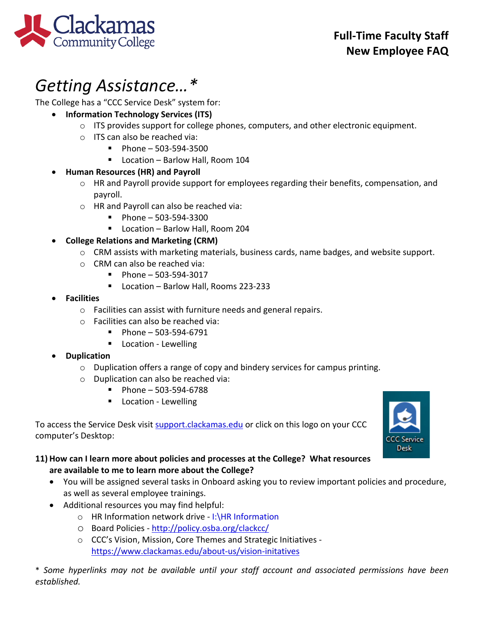

# *Getting Assistance…\**

The College has a "CCC Service Desk" system for:

- **Information Technology Services (ITS)**
	- $\circ$  ITS provides support for college phones, computers, and other electronic equipment.
	- o ITS can also be reached via:
		- $Phone 503-594-3500$
		- Location Barlow Hall, Room 104

# • **Human Resources (HR) and Payroll**

- o HR and Payroll provide support for employees regarding their benefits, compensation, and payroll.
- o HR and Payroll can also be reached via:
	- $\blacksquare$  Phone 503-594-3300
	- Location Barlow Hall, Room 204

# • **College Relations and Marketing (CRM)**

- o CRM assists with marketing materials, business cards, name badges, and website support.
- o CRM can also be reached via:
	- $\blacksquare$  Phone 503-594-3017
	- Location Barlow Hall, Rooms 223-233
- **Facilities**
	- o Facilities can assist with furniture needs and general repairs.
	- o Facilities can also be reached via:
		- $\blacksquare$  Phone 503-594-6791
		- **Location Lewelling**

# • **Duplication**

- o Duplication offers a range of copy and bindery services for campus printing.
- o Duplication can also be reached via:
	- $\blacksquare$  Phone 503-594-6788
	- **Location Lewelling**

To access the Service Desk visit [support.clackamas.edu](https://clackamas.teamdynamix.com/TDClient/Home/) or click on this logo on your CCC computer's Desktop:



# **11) How can I learn more about policies and processes at the College? What resources are available to me to learn more about the College?**

- You will be assigned several tasks in Onboard asking you to review important policies and procedure, as well as several employee trainings.
- Additional resources you may find helpful:
	- o HR Information network drive I:\HR Information
	- o Board Policies -<http://policy.osba.org/clackcc/>
	- o CCC's Vision, Mission, Core Themes and Strategic Initiatives <https://www.clackamas.edu/about-us/vision-initatives>

\* *Some hyperlinks may not be available until your staff account and associated permissions have been established.*